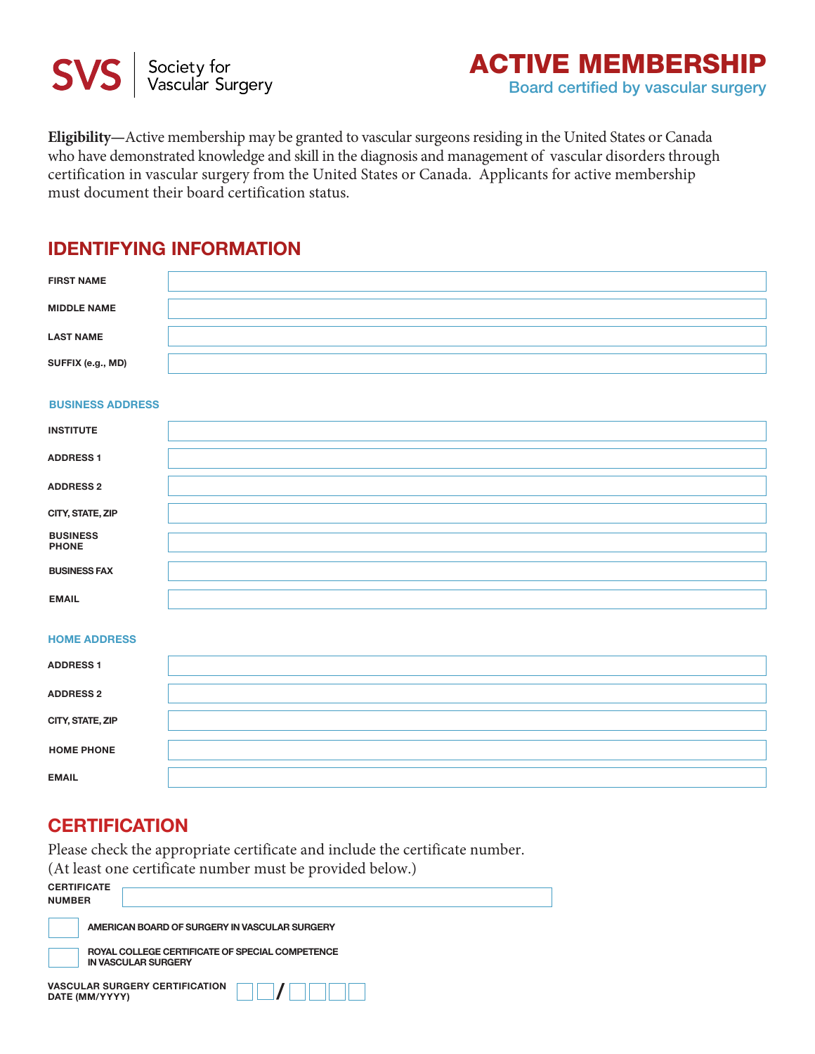

**Eligibility—**Active membership may be granted to vascular surgeons residing in the United States or Canada who have demonstrated knowledge and skill in the diagnosis and management of vascular disorders through certification in vascular surgery from the United States or Canada. Applicants for active membership must document their board certification status.

### **Identifying Information**

| <b>FIRST NAME</b>  |  |
|--------------------|--|
| <b>MIDDLE NAME</b> |  |
| <b>LAST NAME</b>   |  |
| SUFFIX (e.g., MD)  |  |

### **BUSINESS ADDRESS**

| <b>INSTITUTE</b>                |  |
|---------------------------------|--|
| <b>ADDRESS 1</b>                |  |
| <b>ADDRESS 2</b>                |  |
| CITY, STATE, ZIP                |  |
| <b>BUSINESS</b><br><b>PHONE</b> |  |
| <b>BUSINESS FAX</b>             |  |
| <b>EMAIL</b>                    |  |

### **HOME ADDRESS**

| <b>ADDRESS 1</b>  |  |
|-------------------|--|
| <b>ADDRESS 2</b>  |  |
| CITY, STATE, ZIP  |  |
| <b>HOME PHONE</b> |  |
| <b>EMAIL</b>      |  |

## **Certification**

Please check the appropriate certificate and include the certificate number. (At least one certificate number must be provided below.)

| <b>CERTIFICATE</b><br><b>NUMBER</b>                                           |
|-------------------------------------------------------------------------------|
| AMERICAN BOARD OF SURGERY IN VASCULAR SURGERY                                 |
| ROYAL COLLEGE CERTIFICATE OF SPECIAL COMPETENCE<br><b>IN VASCULAR SURGERY</b> |
| <b>VASCULAR SURGERY CERTIFICATION</b><br>DATE (MM/YYYY)                       |